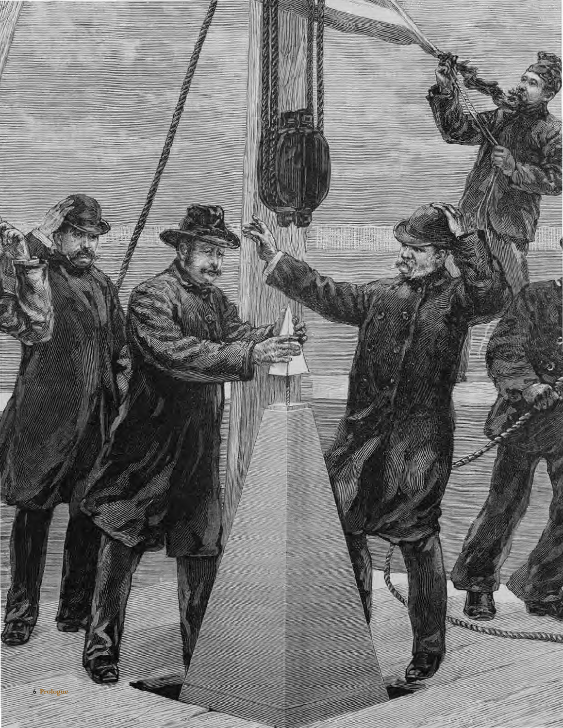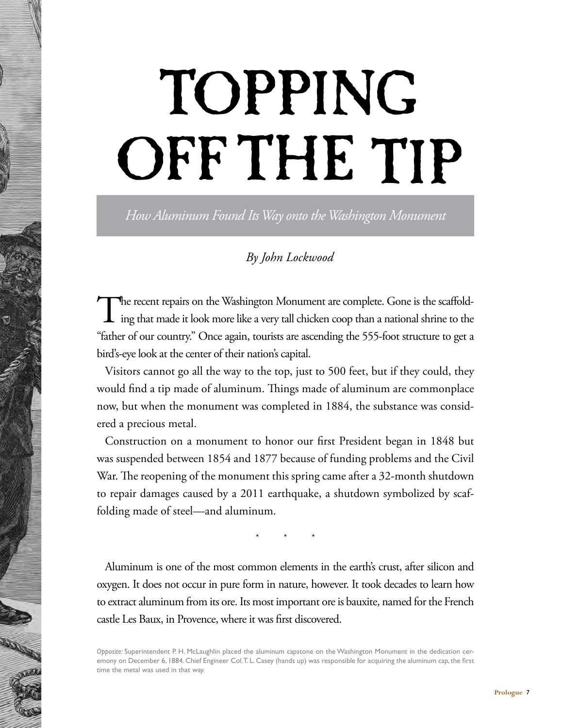# TOPPING OFF THE TIP

*How Aluminum Found Its Way onto the Washington Monument* 

# *By John Lockwood*

The recent repairs on the Washington Monument are complete. Gone is the scaffold-<br>ing that made it look more like a very tall chicken coop than a national shrine to the "father of our country." Once again, tourists are ascending the 555-foot structure to get a bird's-eye look at the center of their nation's capital.

Visitors cannot go all the way to the top, just to 500 feet, but if they could, they would find a tip made of aluminum. Things made of aluminum are commonplace now, but when the monument was completed in 1884, the substance was considered a precious metal.

Construction on a monument to honor our first President began in 1848 but was suspended between 1854 and 1877 because of funding problems and the Civil War. The reopening of the monument this spring came after a 32-month shutdown to repair damages caused by a 2011 earthquake, a shutdown symbolized by scaffolding made of steel—and aluminum.

\* \* \*

Aluminum is one of the most common elements in the earth's crust, after silicon and oxygen. It does not occur in pure form in nature, however. It took decades to learn how to extract aluminum from its ore. Its most important ore is bauxite, named for the French castle Les Baux, in Provence, where it was first discovered.

*Opposite:* Superintendent P. H. McLaughlin placed the aluminum capstone on the Washington Monument in the dedication ceremony on December 6, 1884. Chief Engineer Col.T. L. Casey (hands up) was responsible for acquiring the aluminum cap, the first time the metal was used in that way.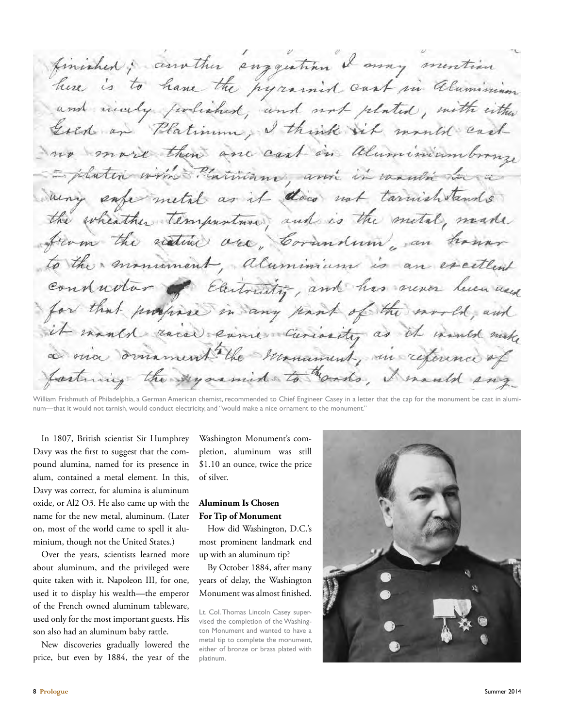finished; carnthus enggestion I may mention here is to have the pyramid cast in aluminium and world fealished, and not plated, with either Gold an Platinum, I think sit month cash no more than one cast in aluminiumbrouse = platen wins Platinon, and in cannon in experimetal as it does not tarnish tands Winy the wheather temportano, and is the motal, made from the eistine are Corundum, an honor moment, aluminium is an exettent conductor clertruity, and has never been used for that purpose in any pant of the world, and mantil care came Curiosity as it wants mit  $i\ell$ ornament the mommunt, in reference fastering the synamida to. comple  $\sqrt{ }$ manch

William Frishmuth of Philadelphia, a German American chemist, recommended to Chief Engineer Casey in a letter that the cap for the monument be cast in aluminum—that it would not tarnish, would conduct electricity, and "would make a nice ornament to the monument."

In 1807, British scientist Sir Humphrey Davy was the first to suggest that the compound alumina, named for its presence in alum, contained a metal element. In this, Davy was correct, for alumina is aluminum oxide, or Al2 O3. He also came up with the name for the new metal, aluminum. (Later on, most of the world came to spell it aluminium, though not the United States.)

Over the years, scientists learned more about aluminum, and the privileged were quite taken with it. Napoleon III, for one, used it to display his wealth—the emperor of the French owned aluminum tableware, used only for the most important guests. His son also had an aluminum baby rattle.

New discoveries gradually lowered the price, but even by 1884, the year of the

Washington Monument's completion, aluminum was still \$1.10 an ounce, twice the price of silver.

# **Aluminum Is Chosen For Tip of Monument**

How did Washington, D.C.'s most prominent landmark end up with an aluminum tip?

By October 1884, after many years of delay, the Washington Monument was almost finished.

Lt. Col. Thomas Lincoln Casey supervised the completion of the Washington Monument and wanted to have a metal tip to complete the monument, either of bronze or brass plated with platinum.

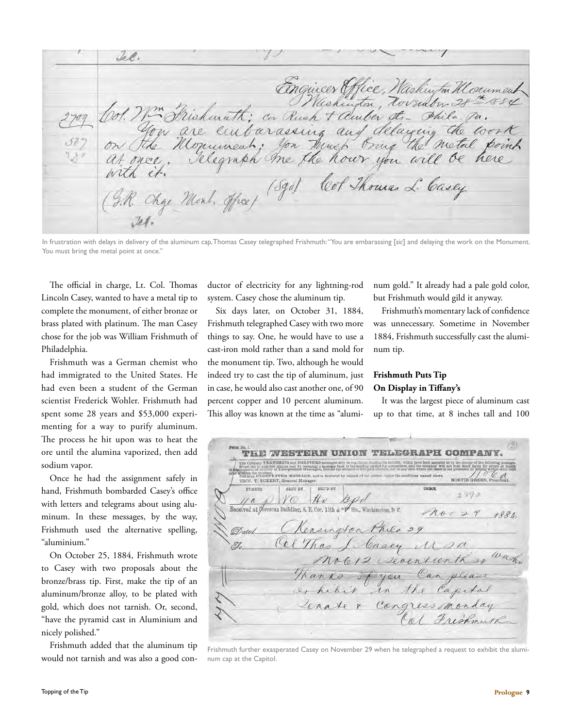Je R. Engineer Office, Washington Monument chunth: n are embarassing and delaying the work Mopument; Regraph me the hour you will be here Thomas L. Casey (I.R. Chge Mont.

In frustration with delays in delivery of the aluminum cap,Thomas Casey telegraphed Frishmuth:"You are embarassing [*sic*] and delaying the work on the Monument. You must bring the metal point at once."

The official in charge, Lt. Col. Thomas Lincoln Casey, wanted to have a metal tip to complete the monument, of either bronze or brass plated with platinum. The man Casey chose for the job was William Frishmuth of Philadelphia.

Frishmuth was a German chemist who had immigrated to the United States. He had even been a student of the German scientist Frederick Wohler. Frishmuth had spent some 28 years and \$53,000 experimenting for a way to purify aluminum. The process he hit upon was to heat the ore until the alumina vaporized, then add sodium vapor.

Once he had the assignment safely in hand, Frishmuth bombarded Casey's office with letters and telegrams about using aluminum. In these messages, by the way, Frishmuth used the alternative spelling, "aluminium."

On October 25, 1884, Frishmuth wrote to Casey with two proposals about the bronze/brass tip. First, make the tip of an aluminum/bronze alloy, to be plated with gold, which does not tarnish. Or, second, "have the pyramid cast in Aluminium and nicely polished."

Frishmuth added that the aluminum tip would not tarnish and was also a good conductor of electricity for any lightning-rod system. Casey chose the aluminum tip.

Six days later, on October 31, 1884, Frishmuth telegraphed Casey with two more things to say. One, he would have to use a cast-iron mold rather than a sand mold for the monument tip. Two, although he would indeed try to cast the tip of aluminum, just in case, he would also cast another one, of 90 percent copper and 10 percent aluminum. This alloy was known at the time as "aluminum gold." It already had a pale gold color, but Frishmuth would gild it anyway.

Frishmuth's momentary lack of confidence was unnecessary. Sometime in November 1884, Frishmuth successfully cast the aluminum tip.

# **Frishmuth Puts Tip On Display in Tiffany's**

It was the largest piece of aluminum cast up to that time, at 8 inches tall and 100

THE WESTERN UNION TELEGRAPH COMPAN **NORVIN GREEN** BENT BY  $2890$ Hv Received at Obreoran Building, S. E. Cor. 15th & "P Sts., Washington, D. C. Kensingtont The / Casey Mad reventienth  $114$ in the Congress mon Frishmuth

Frishmuth further exasperated Casey on November 29 when he telegraphed a request to exhibit the aluminum cap at the Capitol.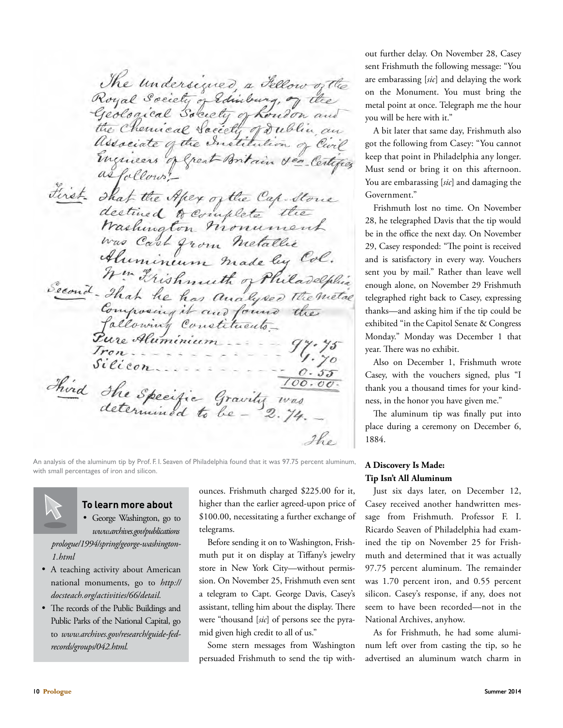The undersigned, a Fellow of the the Chemical Saccely of Dublin an Engineers of great Antain des Certifies as follows! First shat the Apex of the Cap Stone<br>destined to complete the was Cart grom Metallie<br>Aluminium made by Col. Second Thishmuth of Philadelphia Sallowing Constituents\_  $Tron$ .....  $0 - 55$ Too<br>determined to be - 2.74.  $100.00$ the

An analysis of the aluminum tip by Prof. F. I. Seaven of Philadelphia found that it was 97.75 percent aluminum, with small percentages of iron and silicon.



#### **To learn more about**

• George Washington, go to *www.archives.gov/publications* 

*prologue/1994/spring/george-washington-1.html* 

- A teaching activity about American national monuments, go to *http:// docsteach.org/activities/66/detail.*
- The records of the Public Buildings and Public Parks of the National Capital, go to *www.archives.gov/research/guide-fedrecords/groups/042.html.*

ounces. Frishmuth charged \$225.00 for it, higher than the earlier agreed-upon price of \$100.00, necessitating a further exchange of telegrams.

Before sending it on to Washington, Frishmuth put it on display at Tiffany's jewelry store in New York City—without permission. On November 25, Frishmuth even sent a telegram to Capt. George Davis, Casey's assistant, telling him about the display. There were "thousand [*sic*] of persons see the pyramid given high credit to all of us."

Some stern messages from Washington persuaded Frishmuth to send the tip with-

out further delay. On November 28, Casey sent Frishmuth the following message: "You are embarassing [*sic*] and delaying the work on the Monument. You must bring the metal point at once. Telegraph me the hour you will be here with it."

A bit later that same day, Frishmuth also got the following from Casey: "You cannot keep that point in Philadelphia any longer. Must send or bring it on this afternoon. You are embarassing [*sic*] and damaging the Government."

Frishmuth lost no time. On November 28, he telegraphed Davis that the tip would be in the office the next day. On November 29, Casey responded: "The point is received and is satisfactory in every way. Vouchers sent you by mail." Rather than leave well enough alone, on November 29 Frishmuth telegraphed right back to Casey, expressing thanks—and asking him if the tip could be exhibited "in the Capitol Senate & Congress Monday." Monday was December 1 that year. There was no exhibit.

Also on December 1, Frishmuth wrote Casey, with the vouchers signed, plus "I thank you a thousand times for your kindness, in the honor you have given me."

The aluminum tip was finally put into place during a ceremony on December 6, 1884.

# **A Discovery Is Made: Tip Isn't All Aluminum**

Just six days later, on December 12, Casey received another handwritten message from Frishmuth. Professor F. I. Ricardo Seaven of Philadelphia had examined the tip on November 25 for Frishmuth and determined that it was actually 97.75 percent aluminum. The remainder was 1.70 percent iron, and 0.55 percent silicon. Casey's response, if any, does not seem to have been recorded—not in the National Archives, anyhow.

As for Frishmuth, he had some aluminum left over from casting the tip, so he advertised an aluminum watch charm in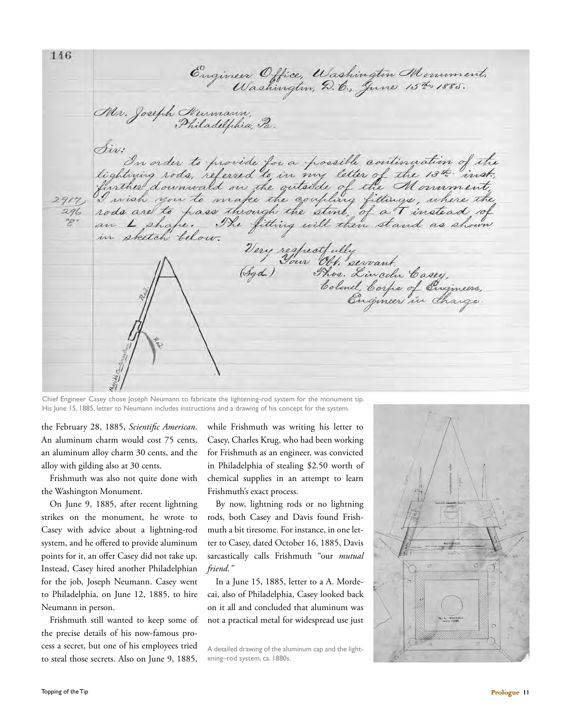146 Engineer Office, Washington Momment,<br>Washington, D. C., June 15th, 1885. Mr. Joseph Neumann, Pa Siv: In order to provide for a possible continuation of the<br>lightning rods, referred to in my letter of the 13th inst.<br>Jurther downwald on the gutside of the Momment,<br>I wish you to make the coupling fittings, where the<br>rods are uvougu ine sime, of a'r insiead. in sketch below.

Chief Engineer Casey chose Joseph Neumann to fabricate the lightening-rod system for the monument tip. His June 15, 1885, letter to Neumann includes instructions and a drawing of his concept for the system.

the February 28, 1885, *Scientific American*. An aluminum charm would cost 75 cents, an aluminum alloy charm 30 cents, and the alloy with gilding also at 30 cents.

Frishmuth was also not quite done with the Washington Monument.

On June 9, 1885, after recent lightning strikes on the monument, he wrote to Casey with advice about a lightning-rod system, and he offered to provide aluminum points for it, an offer Casey did not take up. Instead, Casey hired another Philadelphian for the job, Joseph Neumann. Casey went to Philadelphia, on June 12, 1885, to hire Neumann in person.

Frishmuth still wanted to keep some of the precise details of his now-famous process a secret, but one of his employees tried to steal those secrets. Also on June 9, 1885,

while Frishmuth was writing his letter to Casey, Charles Krug, who had been working for Frishmuth as an engineer, was convicted in Philadelphia of stealing \$2.50 worth of chemical supplies in an attempt to learn Frishmuth's exact process.

By now, lightning rods or no lightning rods, both Casey and Davis found Frishmuth a bit tiresome. For instance, in one letter to Casey, dated October 16, 1885, Davis sarcastically calls Frishmuth "our *mutual friend."* 

In a June 15, 1885, letter to a A. Mordecai, also of Philadelphia, Casey looked back on it all and concluded that aluminum was not a practical metal for widespread use just

A detailed drawing of the aluminum cap and the lightening–rod system, ca. 1880s.